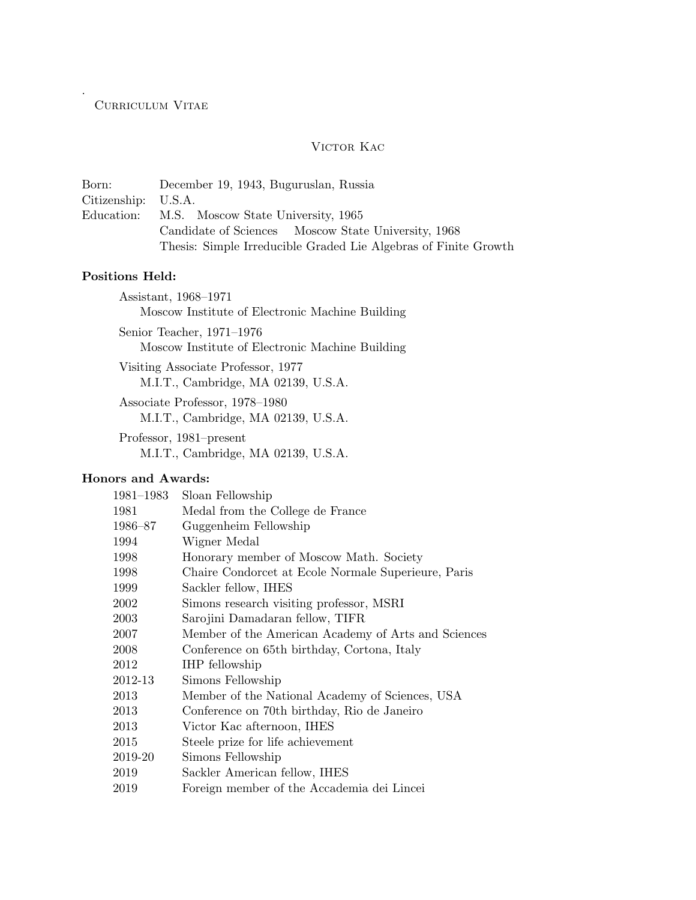.

# VICTOR KAC

Born: December 19, 1943, Buguruslan, Russia Citizenship: U.S.A. Education: M.S. Moscow State University, 1965 Candidate of Sciences Moscow State University, 1968 Thesis: Simple Irreducible Graded Lie Algebras of Finite Growth

# Positions Held:

Assistant, 1968–1971 Moscow Institute of Electronic Machine Building Senior Teacher, 1971–1976

Moscow Institute of Electronic Machine Building

Visiting Associate Professor, 1977 M.I.T., Cambridge, MA 02139, U.S.A.

Associate Professor, 1978–1980 M.I.T., Cambridge, MA 02139, U.S.A.

Professor, 1981–present M.I.T., Cambridge, MA 02139, U.S.A.

## Honors and Awards:

| 1981-1983 | Sloan Fellowship                                    |
|-----------|-----------------------------------------------------|
| 1981      | Medal from the College de France                    |
| 1986–87   | Guggenheim Fellowship                               |
| 1994      | Wigner Medal                                        |
| 1998      | Honorary member of Moscow Math. Society             |
| 1998      | Chaire Condorcet at Ecole Normale Superieure, Paris |
| 1999      | Sackler fellow, IHES                                |
| 2002      | Simons research visiting professor, MSRI            |
| 2003      | Sarojini Damadaran fellow, TIFR                     |
| 2007      | Member of the American Academy of Arts and Sciences |
| 2008      | Conference on 65th birthday, Cortona, Italy         |
| 2012      | <b>IHP</b> fellowship                               |
| 2012-13   | Simons Fellowship                                   |
| 2013      | Member of the National Academy of Sciences, USA     |
| 2013      | Conference on 70th birthday, Rio de Janeiro         |
| 2013      | Victor Kac afternoon, IHES                          |
| 2015      | Steele prize for life achievement                   |
| 2019-20   | Simons Fellowship                                   |
| 2019      | Sackler American fellow, IHES                       |
| 2019      | Foreign member of the Accademia dei Lincei          |
|           |                                                     |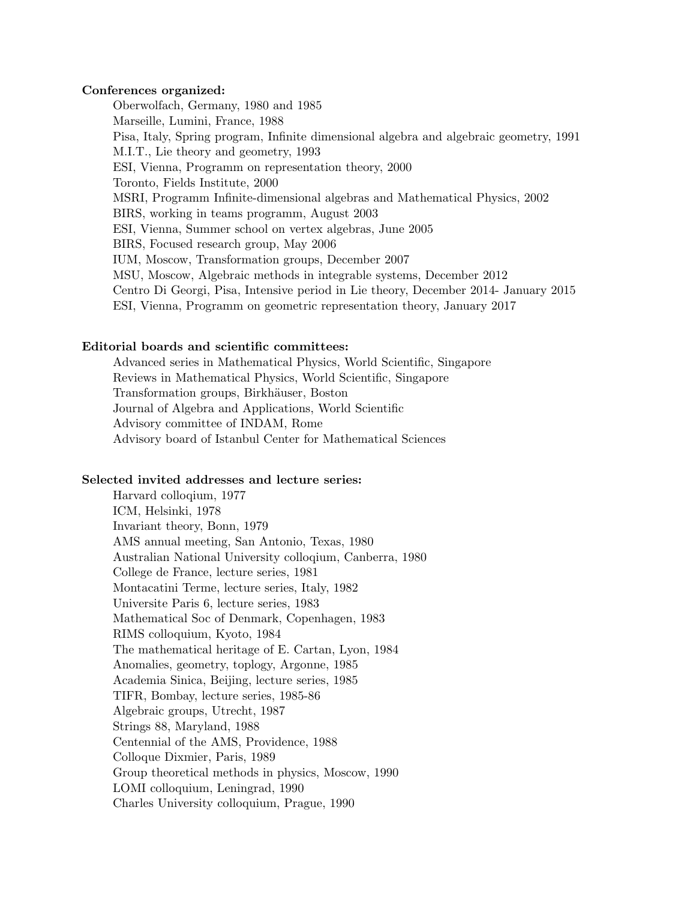### Conferences organized:

Oberwolfach, Germany, 1980 and 1985 Marseille, Lumini, France, 1988 Pisa, Italy, Spring program, Infinite dimensional algebra and algebraic geometry, 1991 M.I.T., Lie theory and geometry, 1993 ESI, Vienna, Programm on representation theory, 2000 Toronto, Fields Institute, 2000 MSRI, Programm Infinite-dimensional algebras and Mathematical Physics, 2002 BIRS, working in teams programm, August 2003 ESI, Vienna, Summer school on vertex algebras, June 2005 BIRS, Focused research group, May 2006 IUM, Moscow, Transformation groups, December 2007 MSU, Moscow, Algebraic methods in integrable systems, December 2012 Centro Di Georgi, Pisa, Intensive period in Lie theory, December 2014- January 2015 ESI, Vienna, Programm on geometric representation theory, January 2017

#### Editorial boards and scientific committees:

Advanced series in Mathematical Physics, World Scientific, Singapore Reviews in Mathematical Physics, World Scientific, Singapore Transformation groups, Birkhäuser, Boston Journal of Algebra and Applications, World Scientific Advisory committee of INDAM, Rome Advisory board of Istanbul Center for Mathematical Sciences

### Selected invited addresses and lecture series:

Harvard colloqium, 1977 ICM, Helsinki, 1978 Invariant theory, Bonn, 1979 AMS annual meeting, San Antonio, Texas, 1980 Australian National University colloqium, Canberra, 1980 College de France, lecture series, 1981 Montacatini Terme, lecture series, Italy, 1982 Universite Paris 6, lecture series, 1983 Mathematical Soc of Denmark, Copenhagen, 1983 RIMS colloquium, Kyoto, 1984 The mathematical heritage of E. Cartan, Lyon, 1984 Anomalies, geometry, toplogy, Argonne, 1985 Academia Sinica, Beijing, lecture series, 1985 TIFR, Bombay, lecture series, 1985-86 Algebraic groups, Utrecht, 1987 Strings 88, Maryland, 1988 Centennial of the AMS, Providence, 1988 Colloque Dixmier, Paris, 1989 Group theoretical methods in physics, Moscow, 1990 LOMI colloquium, Leningrad, 1990 Charles University colloquium, Prague, 1990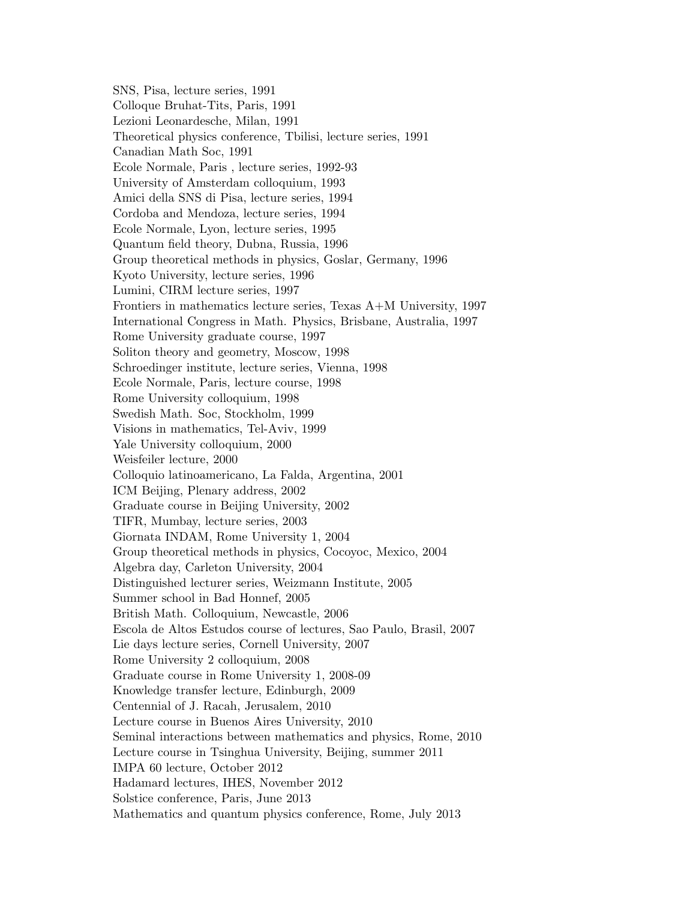SNS, Pisa, lecture series, 1991 Colloque Bruhat-Tits, Paris, 1991 Lezioni Leonardesche, Milan, 1991 Theoretical physics conference, Tbilisi, lecture series, 1991 Canadian Math Soc, 1991 Ecole Normale, Paris , lecture series, 1992-93 University of Amsterdam colloquium, 1993 Amici della SNS di Pisa, lecture series, 1994 Cordoba and Mendoza, lecture series, 1994 Ecole Normale, Lyon, lecture series, 1995 Quantum field theory, Dubna, Russia, 1996 Group theoretical methods in physics, Goslar, Germany, 1996 Kyoto University, lecture series, 1996 Lumini, CIRM lecture series, 1997 Frontiers in mathematics lecture series, Texas A+M University, 1997 International Congress in Math. Physics, Brisbane, Australia, 1997 Rome University graduate course, 1997 Soliton theory and geometry, Moscow, 1998 Schroedinger institute, lecture series, Vienna, 1998 Ecole Normale, Paris, lecture course, 1998 Rome University colloquium, 1998 Swedish Math. Soc, Stockholm, 1999 Visions in mathematics, Tel-Aviv, 1999 Yale University colloquium, 2000 Weisfeiler lecture, 2000 Colloquio latinoamericano, La Falda, Argentina, 2001 ICM Beijing, Plenary address, 2002 Graduate course in Beijing University, 2002 TIFR, Mumbay, lecture series, 2003 Giornata INDAM, Rome University 1, 2004 Group theoretical methods in physics, Cocoyoc, Mexico, 2004 Algebra day, Carleton University, 2004 Distinguished lecturer series, Weizmann Institute, 2005 Summer school in Bad Honnef, 2005 British Math. Colloquium, Newcastle, 2006 Escola de Altos Estudos course of lectures, Sao Paulo, Brasil, 2007 Lie days lecture series, Cornell University, 2007 Rome University 2 colloquium, 2008 Graduate course in Rome University 1, 2008-09 Knowledge transfer lecture, Edinburgh, 2009 Centennial of J. Racah, Jerusalem, 2010 Lecture course in Buenos Aires University, 2010 Seminal interactions between mathematics and physics, Rome, 2010 Lecture course in Tsinghua University, Beijing, summer 2011 IMPA 60 lecture, October 2012 Hadamard lectures, IHES, November 2012 Solstice conference, Paris, June 2013 Mathematics and quantum physics conference, Rome, July 2013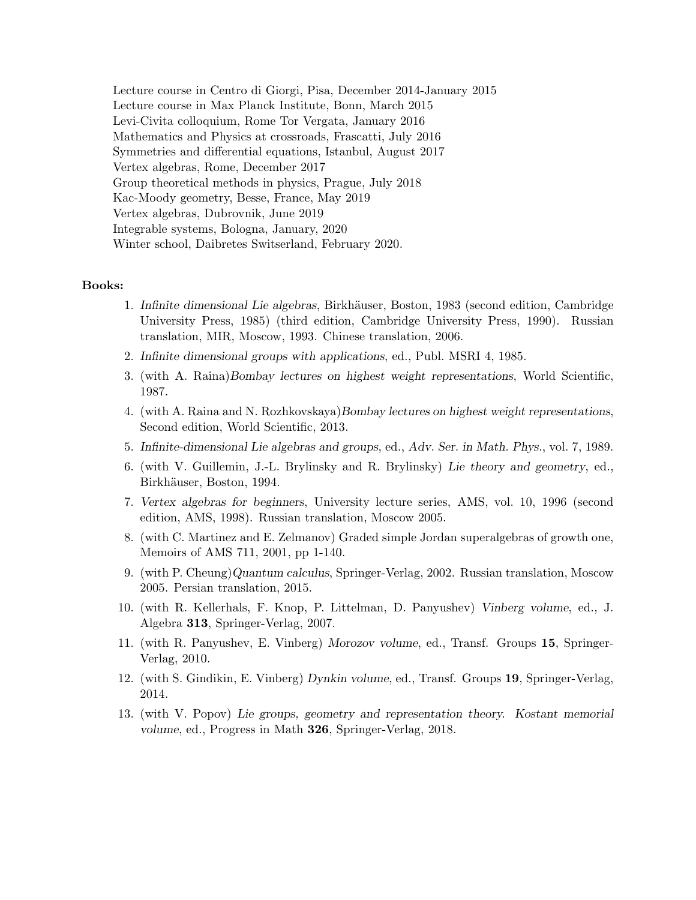Lecture course in Centro di Giorgi, Pisa, December 2014-January 2015 Lecture course in Max Planck Institute, Bonn, March 2015 Levi-Civita colloquium, Rome Tor Vergata, January 2016 Mathematics and Physics at crossroads, Frascatti, July 2016 Symmetries and differential equations, Istanbul, August 2017 Vertex algebras, Rome, December 2017 Group theoretical methods in physics, Prague, July 2018 Kac-Moody geometry, Besse, France, May 2019 Vertex algebras, Dubrovnik, June 2019 Integrable systems, Bologna, January, 2020 Winter school, Daibretes Switserland, February 2020.

#### Books:

- 1. *Infinite dimensional Lie algebras*, Birkhäuser, Boston, 1983 (second edition, Cambridge University Press, 1985) (third edition, Cambridge University Press, 1990). Russian translation, MIR, Moscow, 1993. Chinese translation, 2006.
- 2. *Infinite dimensional groups with applications*, ed., Publ. MSRI 4, 1985.
- 3. (with A. Raina)*Bombay lectures on highest weight representations*, World Scientific, 1987.
- 4. (with A. Raina and N. Rozhkovskaya)*Bombay lectures on highest weight representations*, Second edition, World Scientific, 2013.
- 5. *Infinite-dimensional Lie algebras and groups*, ed., *Adv. Ser. in Math. Phys.*, vol. 7, 1989.
- 6. (with V. Guillemin, J.-L. Brylinsky and R. Brylinsky) *Lie theory and geometry*, ed., Birkhäuser, Boston, 1994.
- 7. *Vertex algebras for beginners*, University lecture series, AMS, vol. 10, 1996 (second edition, AMS, 1998). Russian translation, Moscow 2005.
- 8. (with C. Martinez and E. Zelmanov) Graded simple Jordan superalgebras of growth one, Memoirs of AMS 711, 2001, pp 1-140.
- 9. (with P. Cheung)*Quantum calculus*, Springer-Verlag, 2002. Russian translation, Moscow 2005. Persian translation, 2015.
- 10. (with R. Kellerhals, F. Knop, P. Littelman, D. Panyushev) *Vinberg volume*, ed., J. Algebra 313, Springer-Verlag, 2007.
- 11. (with R. Panyushev, E. Vinberg) *Morozov volume*, ed., Transf. Groups 15, Springer-Verlag, 2010.
- 12. (with S. Gindikin, E. Vinberg) *Dynkin volume*, ed., Transf. Groups 19, Springer-Verlag, 2014.
- 13. (with V. Popov) *Lie groups, geometry and representation theory. Kostant memorial volume*, ed., Progress in Math 326, Springer-Verlag, 2018.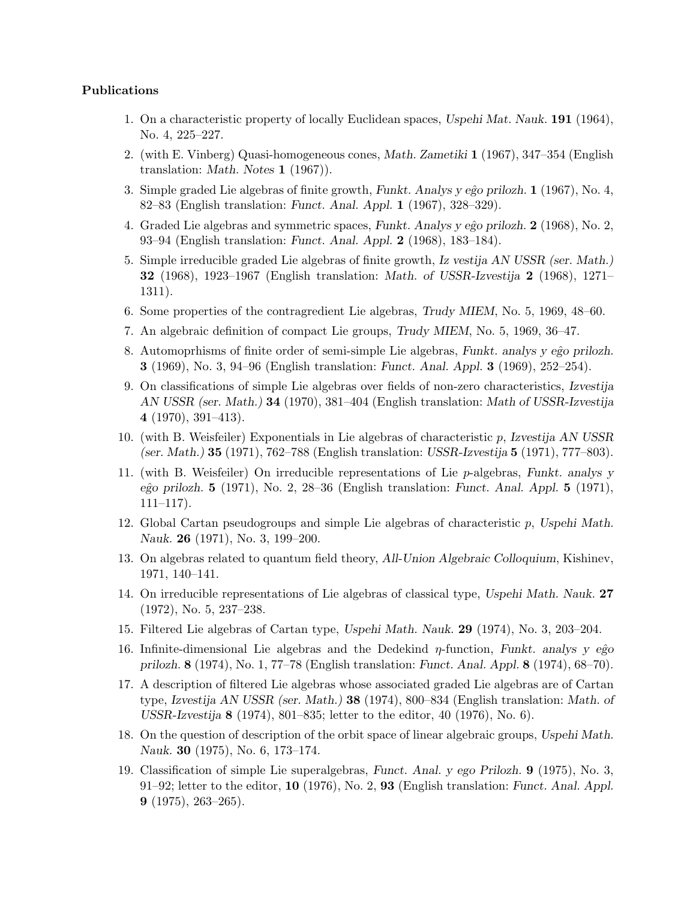## Publications

- 1. On a characteristic property of locally Euclidean spaces, *Uspehi Mat. Nauk.* 191 (1964), No. 4, 225–227.
- 2. (with E. Vinberg) Quasi-homogeneous cones, *Math. Zametiki* 1 (1967), 347–354 (English translation: *Math. Notes* 1 (1967)).
- 3. Simple graded Lie algebras of finite growth, *Funkt. Analys y eˆgo prilozh.* 1 (1967), No. 4, 82–83 (English translation: *Funct. Anal. Appl.* 1 (1967), 328–329).
- 4. Graded Lie algebras and symmetric spaces, *Funkt. Analys y eĝo prilozh.* 2 (1968), No. 2, 93–94 (English translation: *Funct. Anal. Appl.* 2 (1968), 183–184).
- 5. Simple irreducible graded Lie algebras of finite growth, *Iz vestija AN USSR (ser. Math.)* 32 (1968), 1923–1967 (English translation: *Math. of USSR-Izvestija* 2 (1968), 1271– 1311).
- 6. Some properties of the contragredient Lie algebras, *Trudy MIEM*, No. 5, 1969, 48–60.
- 7. An algebraic definition of compact Lie groups, *Trudy MIEM*, No. 5, 1969, 36–47.
- 8. Automoprhisms of finite order of semi-simple Lie algebras, *Funkt. analys y eĝo prilozh.* 3 (1969), No. 3, 94–96 (English translation: *Funct. Anal. Appl.* 3 (1969), 252–254).
- 9. On classifications of simple Lie algebras over fields of non-zero characteristics, *Izvestija AN USSR (ser. Math.)* 34 (1970), 381–404 (English translation: *Math of USSR-Izvestija* 4 (1970), 391–413).
- 10. (with B. Weisfeiler) Exponentials in Lie algebras of characteristic *p*, *Izvestija AN USSR (ser. Math.)* 35 (1971), 762–788 (English translation: *USSR-Izvestija* 5 (1971), 777–803).
- 11. (with B. Weisfeiler) On irreducible representations of Lie *p*-algebras, *Funkt. analys y eˆgo prilozh.* 5 (1971), No. 2, 28–36 (English translation: *Funct. Anal. Appl.* 5 (1971),  $111-117$ ).
- 12. Global Cartan pseudogroups and simple Lie algebras of characteristic *p*, *Uspehi Math. Nauk.* 26 (1971), No. 3, 199–200.
- 13. On algebras related to quantum field theory, *All-Union Algebraic Colloquium*, Kishinev, 1971, 140–141.
- 14. On irreducible representations of Lie algebras of classical type, *Uspehi Math. Nauk.* 27 (1972), No. 5, 237–238.
- 15. Filtered Lie algebras of Cartan type, *Uspehi Math. Nauk.* 29 (1974), No. 3, 203–204.
- 16. Infinite-dimensional Lie algebras and the Dedekind  $\eta$ -function, *Funkt. analys y eĝo prilozh.* 8 (1974), No. 1, 77–78 (English translation: *Funct. Anal. Appl.* 8 (1974), 68–70).
- 17. A description of filtered Lie algebras whose associated graded Lie algebras are of Cartan type, *Izvestija AN USSR (ser. Math.)* 38 (1974), 800–834 (English translation: *Math. of USSR-Izvestija* 8 (1974), 801–835; letter to the editor, 40 (1976), No. 6).
- 18. On the question of description of the orbit space of linear algebraic groups, *Uspehi Math. Nauk.* 30 (1975), No. 6, 173–174.
- 19. Classification of simple Lie superalgebras, *Funct. Anal. y ego Prilozh.* 9 (1975), No. 3, 91–92; letter to the editor, 10 (1976), No. 2, 93 (English translation: *Funct. Anal. Appl.* 9 (1975), 263–265).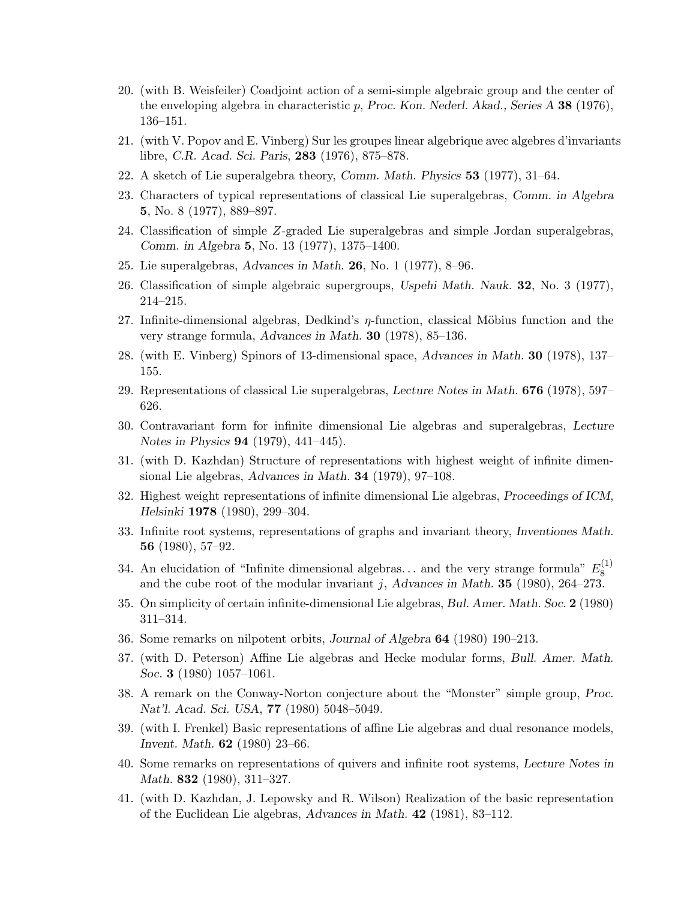- 20. (with B. Weisfeiler) Coadjoint action of a semi-simple algebraic group and the center of the enveloping algebra in characteristic *p*, *Proc. Kon. Nederl. Akad., Series A* 38 (1976), 136–151.
- 21. (with V. Popov and E. Vinberg) Sur les groupes linear algebrique avec algebres d'invariants libre, *C.R. Acad. Sci. Paris*, 283 (1976), 875–878.
- 22. A sketch of Lie superalgebra theory, *Comm. Math. Physics* 53 (1977), 31–64.
- 23. Characters of typical representations of classical Lie superalgebras, *Comm. in Algebra* 5, No. 8 (1977), 889–897.
- 24. Classification of simple *Z*-graded Lie superalgebras and simple Jordan superalgebras, *Comm. in Algebra* 5, No. 13 (1977), 1375–1400.
- 25. Lie superalgebras, *Advances in Math.* 26, No. 1 (1977), 8–96.
- 26. Classification of simple algebraic supergroups, *Uspehi Math. Nauk.* 32, No. 3 (1977), 214–215.
- 27. Infinite-dimensional algebras, Dedkind's  $\eta$ -function, classical Möbius function and the very strange formula, *Advances in Math.* 30 (1978), 85–136.
- 28. (with E. Vinberg) Spinors of 13-dimensional space, *Advances in Math.* 30 (1978), 137– 155.
- 29. Representations of classical Lie superalgebras, *Lecture Notes in Math.* 676 (1978), 597– 626.
- 30. Contravariant form for infinite dimensional Lie algebras and superalgebras, *Lecture Notes in Physics* 94 (1979), 441–445).
- 31. (with D. Kazhdan) Structure of representations with highest weight of infinite dimensional Lie algebras, *Advances in Math.* 34 (1979), 97–108.
- 32. Highest weight representations of infinite dimensional Lie algebras, *Proceedings of ICM, Helsinki* 1978 (1980), 299–304.
- 33. Infinite root systems, representations of graphs and invariant theory, *Inventiones Math.* 56 (1980), 57–92.
- 34. An elucidation of "Infinite dimensional algebras... and the very strange formula"  $E_8^{(1)}$ and the cube root of the modular invariant *j*, *Advances in Math.* 35 (1980), 264–273.
- 35. On simplicity of certain infinite-dimensional Lie algebras, *Bul. Amer. Math. Soc.* 2 (1980) 311–314.
- 36. Some remarks on nilpotent orbits, *Journal of Algebra* 64 (1980) 190–213.
- 37. (with D. Peterson) Affine Lie algebras and Hecke modular forms, *Bull. Amer. Math. Soc.* 3 (1980) 1057–1061.
- 38. A remark on the Conway-Norton conjecture about the "Monster" simple group, *Proc. Nat'l. Acad. Sci. USA*, 77 (1980) 5048–5049.
- 39. (with I. Frenkel) Basic representations of affine Lie algebras and dual resonance models, *Invent. Math.* 62 (1980) 23–66.
- 40. Some remarks on representations of quivers and infinite root systems, *Lecture Notes in Math.* 832 (1980), 311–327.
- 41. (with D. Kazhdan, J. Lepowsky and R. Wilson) Realization of the basic representation of the Euclidean Lie algebras, *Advances in Math.* 42 (1981), 83–112.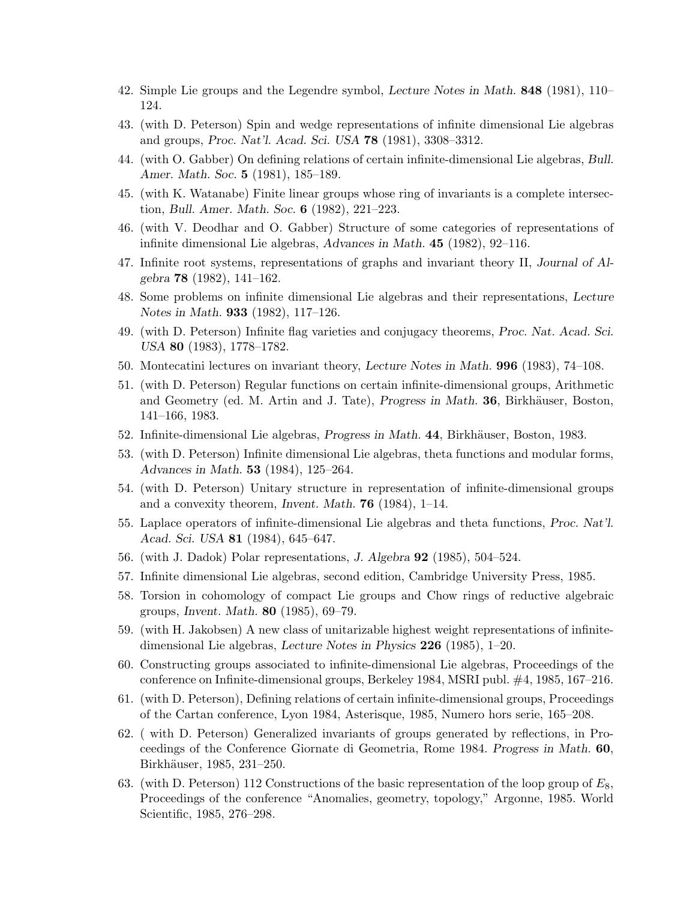- 42. Simple Lie groups and the Legendre symbol, *Lecture Notes in Math.* 848 (1981), 110– 124.
- 43. (with D. Peterson) Spin and wedge representations of infinite dimensional Lie algebras and groups, *Proc. Nat'l. Acad. Sci. USA* 78 (1981), 3308–3312.
- 44. (with O. Gabber) On defining relations of certain infinite-dimensional Lie algebras, *Bull. Amer. Math. Soc.* 5 (1981), 185–189.
- 45. (with K. Watanabe) Finite linear groups whose ring of invariants is a complete intersection, *Bull. Amer. Math. Soc.* 6 (1982), 221–223.
- 46. (with V. Deodhar and O. Gabber) Structure of some categories of representations of infinite dimensional Lie algebras, *Advances in Math.* 45 (1982), 92–116.
- 47. Infinite root systems, representations of graphs and invariant theory II, *Journal of Algebra* 78 (1982), 141–162.
- 48. Some problems on infinite dimensional Lie algebras and their representations, *Lecture Notes in Math.* 933 (1982), 117–126.
- 49. (with D. Peterson) Infinite flag varieties and conjugacy theorems, *Proc. Nat. Acad. Sci. USA* 80 (1983), 1778–1782.
- 50. Montecatini lectures on invariant theory, *Lecture Notes in Math.* 996 (1983), 74–108.
- 51. (with D. Peterson) Regular functions on certain infinite-dimensional groups, Arithmetic and Geometry (ed. M. Artin and J. Tate), *Progress in Math.* **36**, Birkhäuser, Boston, 141–166, 1983.
- 52. Infinite-dimensional Lie algebras, *Progress in Math.* 44, Birkhäuser, Boston, 1983.
- 53. (with D. Peterson) Infinite dimensional Lie algebras, theta functions and modular forms, *Advances in Math.* 53 (1984), 125–264.
- 54. (with D. Peterson) Unitary structure in representation of infinite-dimensional groups and a convexity theorem, *Invent. Math.* 76 (1984), 1–14.
- 55. Laplace operators of infinite-dimensional Lie algebras and theta functions, *Proc. Nat'l. Acad. Sci. USA* 81 (1984), 645–647.
- 56. (with J. Dadok) Polar representations, *J. Algebra* 92 (1985), 504–524.
- 57. Infinite dimensional Lie algebras, second edition, Cambridge University Press, 1985.
- 58. Torsion in cohomology of compact Lie groups and Chow rings of reductive algebraic groups, *Invent. Math.* 80 (1985), 69–79.
- 59. (with H. Jakobsen) A new class of unitarizable highest weight representations of infinitedimensional Lie algebras, *Lecture Notes in Physics* 226 (1985), 1–20.
- 60. Constructing groups associated to infinite-dimensional Lie algebras, Proceedings of the conference on Infinite-dimensional groups, Berkeley 1984, MSRI publ. #4, 1985, 167–216.
- 61. (with D. Peterson), Defining relations of certain infinite-dimensional groups, Proceedings of the Cartan conference, Lyon 1984, Asterisque, 1985, Numero hors serie, 165–208.
- 62. ( with D. Peterson) Generalized invariants of groups generated by reflections, in Proceedings of the Conference Giornate di Geometria, Rome 1984. *Progress in Math.* 60, Birkhäuser, 1985, 231-250.
- 63. (with D. Peterson) 112 Constructions of the basic representation of the loop group of *E*8, Proceedings of the conference "Anomalies, geometry, topology," Argonne, 1985. World Scientific, 1985, 276–298.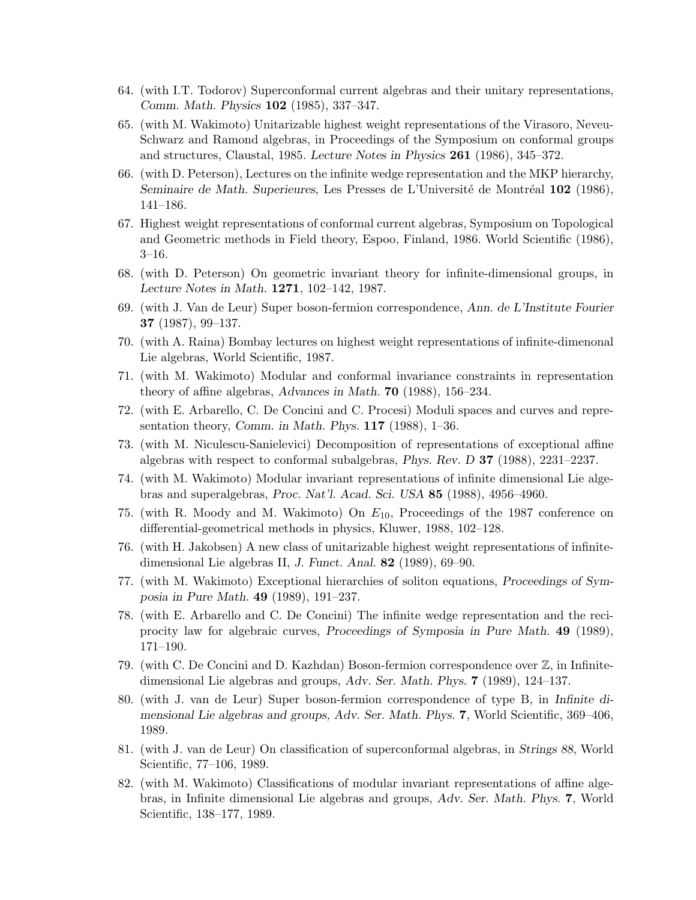- 64. (with I.T. Todorov) Superconformal current algebras and their unitary representations, *Comm. Math. Physics* 102 (1985), 337–347.
- 65. (with M. Wakimoto) Unitarizable highest weight representations of the Virasoro, Neveu-Schwarz and Ramond algebras, in Proceedings of the Symposium on conformal groups and structures, Claustal, 1985. *Lecture Notes in Physics* 261 (1986), 345–372.
- 66. (with D. Peterson), Lectures on the infinite wedge representation and the MKP hierarchy, *Seminaire de Math. Superieures*, Les Presses de L'Université de Montréal 102 (1986), 141–186.
- 67. Highest weight representations of conformal current algebras, Symposium on Topological and Geometric methods in Field theory, Espoo, Finland, 1986. World Scientific (1986), 3–16.
- 68. (with D. Peterson) On geometric invariant theory for infinite-dimensional groups, in *Lecture Notes in Math.* 1271, 102–142, 1987.
- 69. (with J. Van de Leur) Super boson-fermion correspondence, *Ann. de L'Institute Fourier* 37 (1987), 99–137.
- 70. (with A. Raina) Bombay lectures on highest weight representations of infinite-dimenonal Lie algebras, World Scientific, 1987.
- 71. (with M. Wakimoto) Modular and conformal invariance constraints in representation theory of affine algebras, *Advances in Math.* **70** (1988), 156–234.
- 72. (with E. Arbarello, C. De Concini and C. Procesi) Moduli spaces and curves and representation theory, *Comm. in Math. Phys.* 117 (1988), 1–36.
- 73. (with M. Niculescu-Sanielevici) Decomposition of representations of exceptional affine algebras with respect to conformal subalgebras, *Phys. Rev. D* 37 (1988), 2231–2237.
- 74. (with M. Wakimoto) Modular invariant representations of infinite dimensional Lie algebras and superalgebras, *Proc. Nat'l. Acad. Sci. USA* 85 (1988), 4956–4960.
- 75. (with R. Moody and M. Wakimoto) On *E*10, Proceedings of the 1987 conference on differential-geometrical methods in physics, Kluwer, 1988, 102–128.
- 76. (with H. Jakobsen) A new class of unitarizable highest weight representations of infinitedimensional Lie algebras II, *J. Funct. Anal.* 82 (1989), 69–90.
- 77. (with M. Wakimoto) Exceptional hierarchies of soliton equations, *Proceedings of Symposia in Pure Math.* 49 (1989), 191–237.
- 78. (with E. Arbarello and C. De Concini) The infinite wedge representation and the reciprocity law for algebraic curves, *Proceedings of Symposia in Pure Math.* 49 (1989), 171–190.
- 79. (with C. De Concini and D. Kazhdan) Boson-fermion correspondence over Z, in Infinitedimensional Lie algebras and groups, *Adv. Ser. Math. Phys.* 7 (1989), 124–137.
- 80. (with J. van de Leur) Super boson-fermion correspondence of type B, in *Infinite dimensional Lie algebras and groups, Adv. Ser. Math. Phys.* 7, World Scientific, 369–406, 1989.
- 81. (with J. van de Leur) On classification of superconformal algebras, in *Strings 88*, World Scientific, 77–106, 1989.
- 82. (with M. Wakimoto) Classifications of modular invariant representations of affine algebras, in Infinite dimensional Lie algebras and groups, *Adv. Ser. Math. Phys.* 7, World Scientific, 138–177, 1989.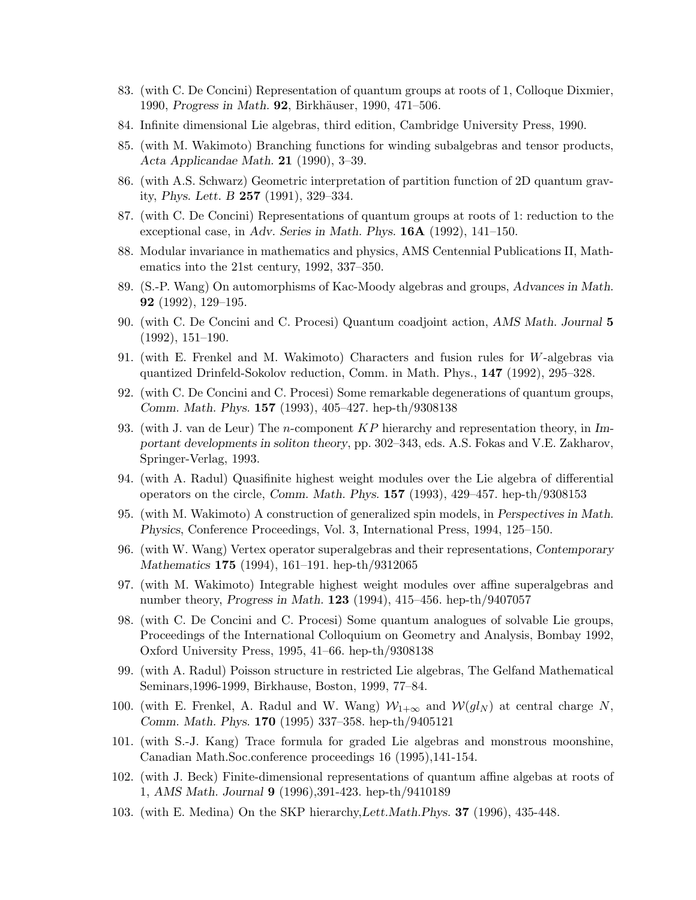- 83. (with C. De Concini) Representation of quantum groups at roots of 1, Colloque Dixmier, 1990, *Progress in Math.* **92**, Birkhäuser, 1990, 471–506.
- 84. Infinite dimensional Lie algebras, third edition, Cambridge University Press, 1990.
- 85. (with M. Wakimoto) Branching functions for winding subalgebras and tensor products, *Acta Applicandae Math.* 21 (1990), 3–39.
- 86. (with A.S. Schwarz) Geometric interpretation of partition function of 2D quantum gravity, *Phys. Lett. B* 257 (1991), 329–334.
- 87. (with C. De Concini) Representations of quantum groups at roots of 1: reduction to the exceptional case, in *Adv. Series in Math. Phys.* 16A (1992), 141–150.
- 88. Modular invariance in mathematics and physics, AMS Centennial Publications II, Mathematics into the 21st century, 1992, 337–350.
- 89. (S.-P. Wang) On automorphisms of Kac-Moody algebras and groups, *Advances in Math.* 92 (1992), 129–195.
- 90. (with C. De Concini and C. Procesi) Quantum coadjoint action, *AMS Math. Journal* 5 (1992), 151–190.
- 91. (with E. Frenkel and M. Wakimoto) Characters and fusion rules for *W*-algebras via quantized Drinfeld-Sokolov reduction, Comm. in Math. Phys., 147 (1992), 295–328.
- 92. (with C. De Concini and C. Procesi) Some remarkable degenerations of quantum groups, *Comm. Math. Phys.* 157 (1993), 405–427. hep-th/9308138
- 93. (with J. van de Leur) The *n*-component *KP* hierarchy and representation theory, in *Important developments in soliton theory*, pp. 302–343, eds. A.S. Fokas and V.E. Zakharov, Springer-Verlag, 1993.
- 94. (with A. Radul) Quasifinite highest weight modules over the Lie algebra of differential operators on the circle, *Comm. Math. Phys.* 157 (1993), 429–457. hep-th/9308153
- 95. (with M. Wakimoto) A construction of generalized spin models, in *Perspectives in Math. Physics*, Conference Proceedings, Vol. 3, International Press, 1994, 125–150.
- 96. (with W. Wang) Vertex operator superalgebras and their representations, *Contemporary Mathematics* 175 (1994), 161–191. hep-th/9312065
- 97. (with M. Wakimoto) Integrable highest weight modules over affine superalgebras and number theory, *Progress in Math.* 123 (1994), 415–456. hep-th/9407057
- 98. (with C. De Concini and C. Procesi) Some quantum analogues of solvable Lie groups, Proceedings of the International Colloquium on Geometry and Analysis, Bombay 1992, Oxford University Press, 1995, 41–66. hep-th/9308138
- 99. (with A. Radul) Poisson structure in restricted Lie algebras, The Gelfand Mathematical Seminars,1996-1999, Birkhause, Boston, 1999, 77–84.
- 100. (with E. Frenkel, A. Radul and W. Wang)  $W_{1+\infty}$  and  $W(gl_N)$  at central charge N, *Comm. Math. Phys.* 170 (1995) 337–358. hep-th/9405121
- 101. (with S.-J. Kang) Trace formula for graded Lie algebras and monstrous moonshine, Canadian Math.Soc.conference proceedings 16 (1995),141-154.
- 102. (with J. Beck) Finite-dimensional representations of quantum affine algebas at roots of 1, *AMS Math. Journal* 9 (1996),391-423. hep-th/9410189
- 103. (with E. Medina) On the SKP hierarchy,*Lett.Math.Phys.* 37 (1996), 435-448.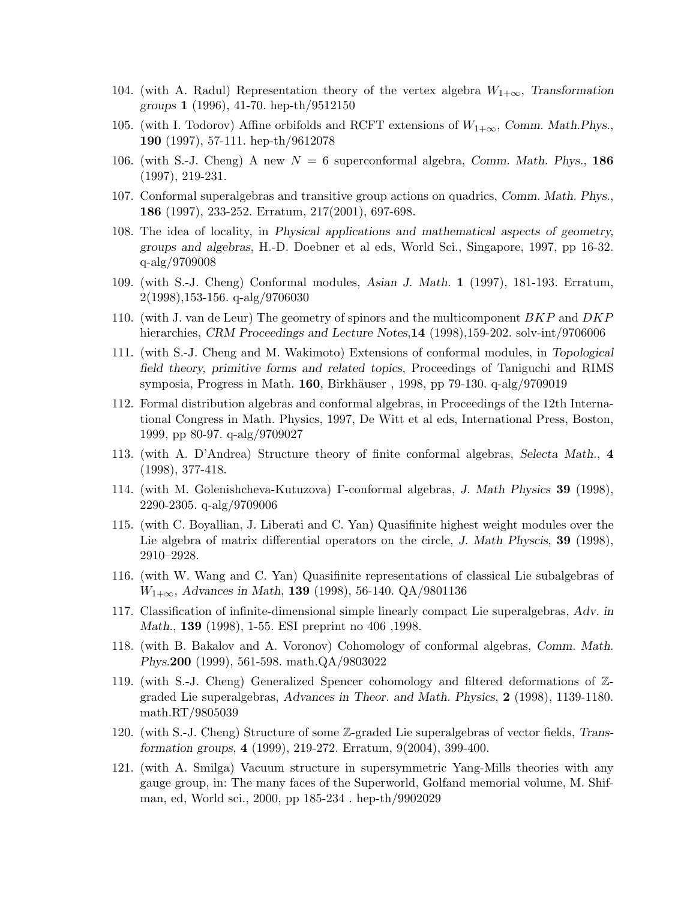- 104. (with A. Radul) Representation theory of the vertex algebra  $W_{1+\infty}$ , Transformation *groups* 1 (1996), 41-70. hep-th/9512150
- 105. (with I. Todorov) Affine orbifolds and RCFT extensions of  $W_{1+\infty}$ , *Comm. Math.Phys.*, 190 (1997), 57-111. hep-th/9612078
- 106. (with S.-J. Cheng) A new *N* = 6 superconformal algebra, *Comm. Math. Phys.*, 186 (1997), 219-231.
- 107. Conformal superalgebras and transitive group actions on quadrics, *Comm. Math. Phys.*, 186 (1997), 233-252. Erratum, 217(2001), 697-698.
- 108. The idea of locality, in *Physical applications and mathematical aspects of geometry, groups and algebras*, H.-D. Doebner et al eds, World Sci., Singapore, 1997, pp 16-32. q-alg/9709008
- 109. (with S.-J. Cheng) Conformal modules, *Asian J. Math.* 1 (1997), 181-193. Erratum, 2(1998),153-156. q-alg/9706030
- 110. (with J. van de Leur) The geometry of spinors and the multicomponent *BKP* and *DKP* hierarchies, *CRM Proceedings and Lecture Notes*,14 (1998),159-202. solv-int/9706006
- 111. (with S.-J. Cheng and M. Wakimoto) Extensions of conformal modules, in *Topological field theory, primitive forms and related topics*, Proceedings of Taniguchi and RIMS symposia, Progress in Math. 160, Birkhäuser , 1998, pp 79-130.  $q\text{-alg}/9709019$
- 112. Formal distribution algebras and conformal algebras, in Proceedings of the 12th International Congress in Math. Physics, 1997, De Witt et al eds, International Press, Boston, 1999, pp 80-97. q-alg/9709027
- 113. (with A. D'Andrea) Structure theory of finite conformal algebras, *Selecta Math.*, 4 (1998), 377-418.
- 114. (with M. Golenishcheva-Kutuzova)  $\Gamma$ -conformal algebras, *J. Math Physics* **39** (1998), 2290-2305. q-alg/9709006
- 115. (with C. Boyallian, J. Liberati and C. Yan) Quasifinite highest weight modules over the Lie algebra of matrix differential operators on the circle, *J. Math Physcis*, **39** (1998), 2910–2928.
- 116. (with W. Wang and C. Yan) Quasifinite representations of classical Lie subalgebras of  $W_{1+\infty}$ , *Advances in Math*, **139** (1998), 56-140. QA/9801136
- 117. Classification of infinite-dimensional simple linearly compact Lie superalgebras, *Adv. in Math.*, 139 (1998), 1-55. ESI preprint no 406 ,1998.
- 118. (with B. Bakalov and A. Voronov) Cohomology of conformal algebras, *Comm. Math. Phys.*200 (1999), 561-598. math.QA/9803022
- 119. (with S.-J. Cheng) Generalized Spencer cohomology and filtered deformations of Zgraded Lie superalgebras, *Advances in Theor. and Math. Physics*, 2 (1998), 1139-1180. math.RT/9805039
- 120. (with S.-J. Cheng) Structure of some Z-graded Lie superalgebras of vector fields, *Transformation groups*, 4 (1999), 219-272. Erratum, 9(2004), 399-400.
- 121. (with A. Smilga) Vacuum structure in supersymmetric Yang-Mills theories with any gauge group, in: The many faces of the Superworld, Golfand memorial volume, M. Shifman, ed, World sci., 2000, pp 185-234 . hep-th/9902029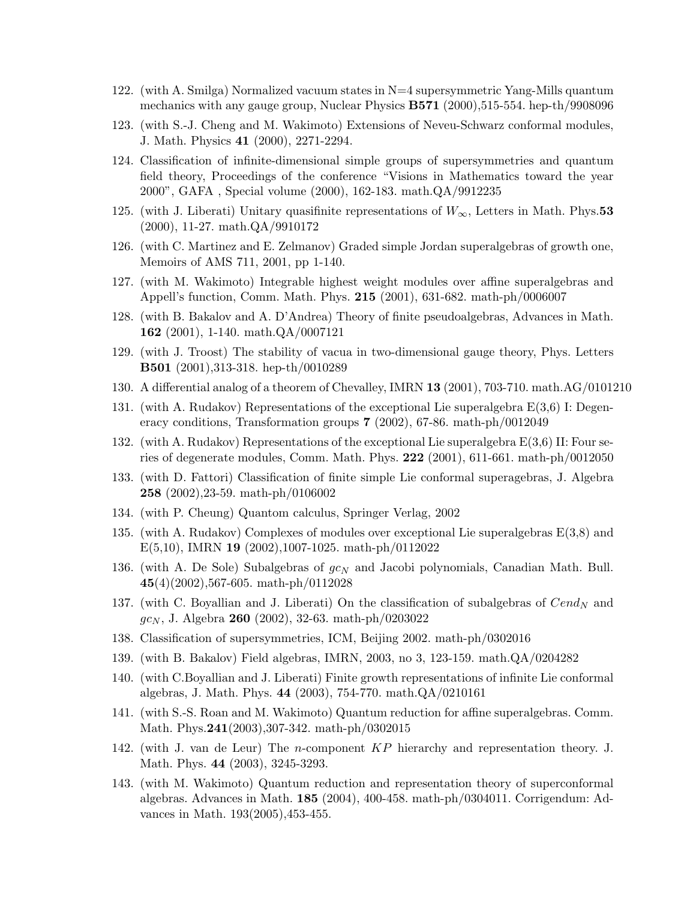- 122. (with A. Smilga) Normalized vacuum states in N=4 supersymmetric Yang-Mills quantum mechanics with any gauge group, Nuclear Physics **B571** (2000),515-554. hep-th/9908096
- 123. (with S.-J. Cheng and M. Wakimoto) Extensions of Neveu-Schwarz conformal modules, J. Math. Physics 41 (2000), 2271-2294.
- 124. Classification of infinite-dimensional simple groups of supersymmetries and quantum field theory, Proceedings of the conference "Visions in Mathematics toward the year 2000", GAFA , Special volume (2000), 162-183. math.QA/9912235
- 125. (with J. Liberati) Unitary quasifinite representations of  $W_{\infty}$ , Letters in Math. Phys.53 (2000), 11-27. math.QA/9910172
- 126. (with C. Martinez and E. Zelmanov) Graded simple Jordan superalgebras of growth one, Memoirs of AMS 711, 2001, pp 1-140.
- 127. (with M. Wakimoto) Integrable highest weight modules over affine superalgebras and Appell's function, Comm. Math. Phys. 215 (2001), 631-682. math-ph/0006007
- 128. (with B. Bakalov and A. D'Andrea) Theory of finite pseudoalgebras, Advances in Math. 162 (2001), 1-140. math.QA/0007121
- 129. (with J. Troost) The stability of vacua in two-dimensional gauge theory, Phys. Letters B501 (2001),313-318. hep-th/0010289
- 130. A differential analog of a theorem of Chevalley, IMRN 13 (2001), 703-710. math.AG/0101210
- 131. (with A. Rudakov) Representations of the exceptional Lie superalgebra E(3,6) I: Degeneracy conditions, Transformation groups 7 (2002), 67-86. math-ph/0012049
- 132. (with A. Rudakov) Representations of the exceptional Lie superalgebra E(3,6) II: Four series of degenerate modules, Comm. Math. Phys. 222 (2001), 611-661. math-ph/0012050
- 133. (with D. Fattori) Classification of finite simple Lie conformal superagebras, J. Algebra 258 (2002),23-59. math-ph/0106002
- 134. (with P. Cheung) Quantom calculus, Springer Verlag, 2002
- 135. (with A. Rudakov) Complexes of modules over exceptional Lie superalgebras E(3,8) and E(5,10), IMRN 19 (2002),1007-1025. math-ph/0112022
- 136. (with A. De Sole) Subalgebras of *gc<sup>N</sup>* and Jacobi polynomials, Canadian Math. Bull. 45(4)(2002),567-605. math-ph/0112028
- 137. (with C. Boyallian and J. Liberati) On the classification of subalgebras of *Cend<sup>N</sup>* and *gc<sup>N</sup>* , J. Algebra 260 (2002), 32-63. math-ph/0203022
- 138. Classification of supersymmetries, ICM, Beijing 2002. math-ph/0302016
- 139. (with B. Bakalov) Field algebras, IMRN, 2003, no 3, 123-159. math.QA/0204282
- 140. (with C.Boyallian and J. Liberati) Finite growth representations of infinite Lie conformal algebras, J. Math. Phys. 44 (2003), 754-770. math.QA/0210161
- 141. (with S.-S. Roan and M. Wakimoto) Quantum reduction for affine superalgebras. Comm. Math. Phys.241(2003),307-342. math-ph/0302015
- 142. (with J. van de Leur) The *n*-component *KP* hierarchy and representation theory. J. Math. Phys. 44 (2003), 3245-3293.
- 143. (with M. Wakimoto) Quantum reduction and representation theory of superconformal algebras. Advances in Math. 185 (2004), 400-458. math-ph/0304011. Corrigendum: Advances in Math. 193(2005),453-455.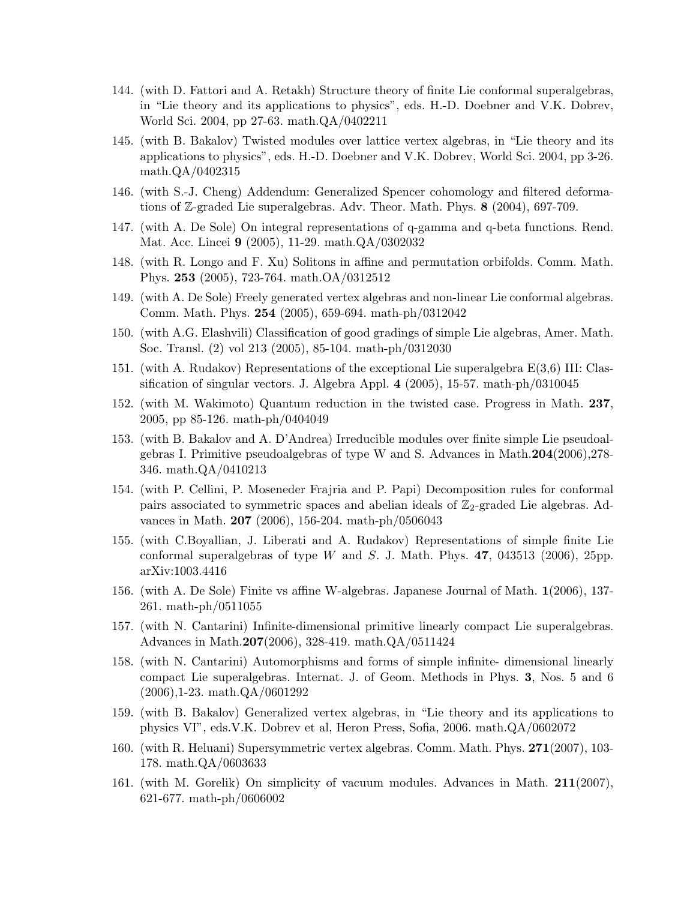- 144. (with D. Fattori and A. Retakh) Structure theory of finite Lie conformal superalgebras, in "Lie theory and its applications to physics", eds. H.-D. Doebner and V.K. Dobrev, World Sci. 2004, pp 27-63. math.QA/0402211
- 145. (with B. Bakalov) Twisted modules over lattice vertex algebras, in "Lie theory and its applications to physics", eds. H.-D. Doebner and V.K. Dobrev, World Sci. 2004, pp 3-26. math.QA/0402315
- 146. (with S.-J. Cheng) Addendum: Generalized Spencer cohomology and filtered deformations of Z-graded Lie superalgebras. Adv. Theor. Math. Phys. 8 (2004), 697-709.
- 147. (with A. De Sole) On integral representations of q-gamma and q-beta functions. Rend. Mat. Acc. Lincei 9 (2005), 11-29. math.QA/0302032
- 148. (with R. Longo and F. Xu) Solitons in affine and permutation orbifolds. Comm. Math. Phys. 253 (2005), 723-764. math.OA/0312512
- 149. (with A. De Sole) Freely generated vertex algebras and non-linear Lie conformal algebras. Comm. Math. Phys. 254 (2005), 659-694. math-ph/0312042
- 150. (with A.G. Elashvili) Classification of good gradings of simple Lie algebras, Amer. Math. Soc. Transl. (2) vol 213 (2005), 85-104. math-ph/0312030
- 151. (with A. Rudakov) Representations of the exceptional Lie superalgebra E(3,6) III: Classification of singular vectors. J. Algebra Appl. 4 (2005), 15-57. math-ph/0310045
- 152. (with M. Wakimoto) Quantum reduction in the twisted case. Progress in Math. 237, 2005, pp 85-126. math-ph/0404049
- 153. (with B. Bakalov and A. D'Andrea) Irreducible modules over finite simple Lie pseudoalgebras I. Primitive pseudoalgebras of type W and S. Advances in Math.204(2006),278- 346. math.QA/0410213
- 154. (with P. Cellini, P. Moseneder Frajria and P. Papi) Decomposition rules for conformal pairs associated to symmetric spaces and abelian ideals of  $\mathbb{Z}_2$ -graded Lie algebras. Advances in Math. 207 (2006), 156-204. math-ph/0506043
- 155. (with C.Boyallian, J. Liberati and A. Rudakov) Representations of simple finite Lie conformal superalgebras of type *W* and *S*. J. Math. Phys. 47, 043513 (2006), 25pp. arXiv:1003.4416
- 156. (with A. De Sole) Finite vs affine W-algebras. Japanese Journal of Math.  $1(2006)$ , 137-261. math-ph/0511055
- 157. (with N. Cantarini) Infinite-dimensional primitive linearly compact Lie superalgebras. Advances in Math.207(2006), 328-419. math.QA/0511424
- 158. (with N. Cantarini) Automorphisms and forms of simple infinite- dimensional linearly compact Lie superalgebras. Internat. J. of Geom. Methods in Phys. 3, Nos. 5 and 6 (2006),1-23. math.QA/0601292
- 159. (with B. Bakalov) Generalized vertex algebras, in "Lie theory and its applications to physics VI", eds.V.K. Dobrev et al, Heron Press, Sofia, 2006. math.QA/0602072
- 160. (with R. Heluani) Supersymmetric vertex algebras. Comm. Math. Phys. 271(2007), 103- 178. math.QA/0603633
- 161. (with M. Gorelik) On simplicity of vacuum modules. Advances in Math. 211(2007), 621-677. math-ph/0606002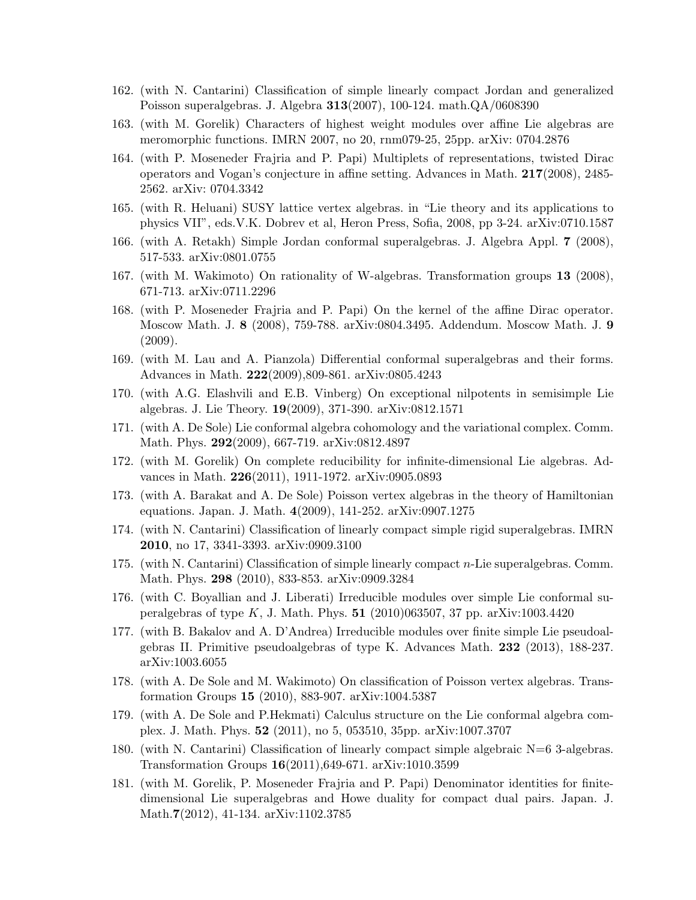- 162. (with N. Cantarini) Classification of simple linearly compact Jordan and generalized Poisson superalgebras. J. Algebra 313(2007), 100-124. math.QA/0608390
- 163. (with M. Gorelik) Characters of highest weight modules over affine Lie algebras are meromorphic functions. IMRN 2007, no 20, rnm079-25, 25pp. arXiv: 0704.2876
- 164. (with P. Moseneder Frajria and P. Papi) Multiplets of representations, twisted Dirac operators and Vogan's conjecture in affine setting. Advances in Math.  $217(2008)$ , 2485-2562. arXiv: 0704.3342
- 165. (with R. Heluani) SUSY lattice vertex algebras. in "Lie theory and its applications to physics VII", eds.V.K. Dobrev et al, Heron Press, Sofia, 2008, pp 3-24. arXiv:0710.1587
- 166. (with A. Retakh) Simple Jordan conformal superalgebras. J. Algebra Appl. 7 (2008), 517-533. arXiv:0801.0755
- 167. (with M. Wakimoto) On rationality of W-algebras. Transformation groups 13 (2008), 671-713. arXiv:0711.2296
- 168. (with P. Moseneder Frajria and P. Papi) On the kernel of the affine Dirac operator. Moscow Math. J. 8 (2008), 759-788. arXiv:0804.3495. Addendum. Moscow Math. J. 9 (2009).
- 169. (with M. Lau and A. Pianzola) Differential conformal superalgebras and their forms. Advances in Math. 222(2009),809-861. arXiv:0805.4243
- 170. (with A.G. Elashvili and E.B. Vinberg) On exceptional nilpotents in semisimple Lie algebras. J. Lie Theory. 19(2009), 371-390. arXiv:0812.1571
- 171. (with A. De Sole) Lie conformal algebra cohomology and the variational complex. Comm. Math. Phys. 292(2009), 667-719. arXiv:0812.4897
- 172. (with M. Gorelik) On complete reducibility for infinite-dimensional Lie algebras. Advances in Math. 226(2011), 1911-1972. arXiv:0905.0893
- 173. (with A. Barakat and A. De Sole) Poisson vertex algebras in the theory of Hamiltonian equations. Japan. J. Math. 4(2009), 141-252. arXiv:0907.1275
- 174. (with N. Cantarini) Classification of linearly compact simple rigid superalgebras. IMRN 2010, no 17, 3341-3393. arXiv:0909.3100
- 175. (with N. Cantarini) Classification of simple linearly compact *n*-Lie superalgebras. Comm. Math. Phys. 298 (2010), 833-853. arXiv:0909.3284
- 176. (with C. Boyallian and J. Liberati) Irreducible modules over simple Lie conformal superalgebras of type *K*, J. Math. Phys. 51 (2010)063507, 37 pp. arXiv:1003.4420
- 177. (with B. Bakalov and A. D'Andrea) Irreducible modules over finite simple Lie pseudoalgebras II. Primitive pseudoalgebras of type K. Advances Math. 232 (2013), 188-237. arXiv:1003.6055
- 178. (with A. De Sole and M. Wakimoto) On classification of Poisson vertex algebras. Transformation Groups 15 (2010), 883-907. arXiv:1004.5387
- 179. (with A. De Sole and P.Hekmati) Calculus structure on the Lie conformal algebra complex. J. Math. Phys. 52 (2011), no 5, 053510, 35pp. arXiv:1007.3707
- 180. (with N. Cantarini) Classification of linearly compact simple algebraic N=6 3-algebras. Transformation Groups 16(2011),649-671. arXiv:1010.3599
- 181. (with M. Gorelik, P. Moseneder Frajria and P. Papi) Denominator identities for finitedimensional Lie superalgebras and Howe duality for compact dual pairs. Japan. J. Math.7(2012), 41-134. arXiv:1102.3785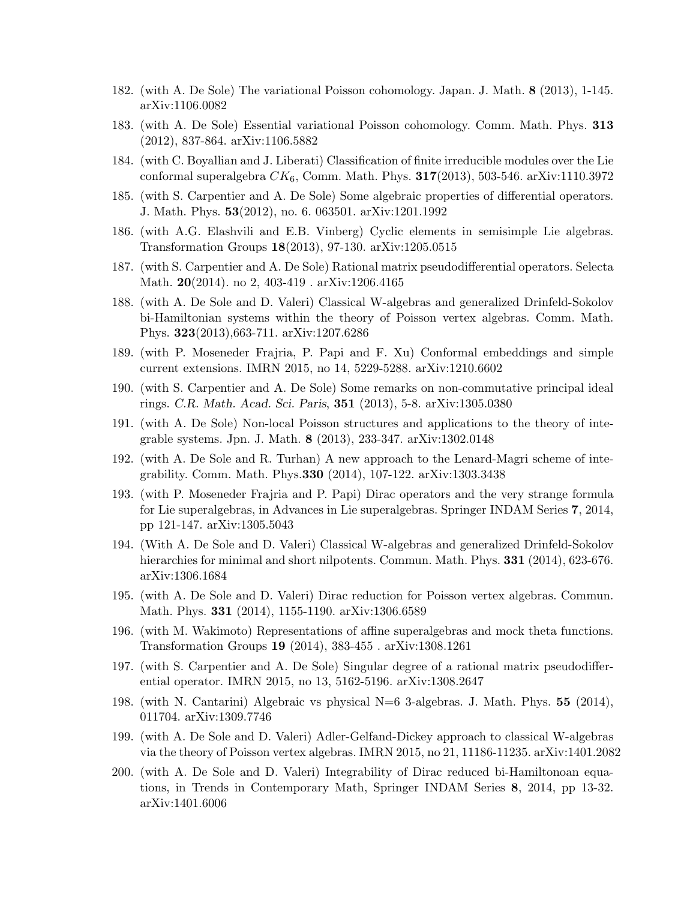- 182. (with A. De Sole) The variational Poisson cohomology. Japan. J. Math. 8 (2013), 1-145. arXiv:1106.0082
- 183. (with A. De Sole) Essential variational Poisson cohomology. Comm. Math. Phys. 313 (2012), 837-864. arXiv:1106.5882
- 184. (with C. Boyallian and J. Liberati) Classification of finite irreducible modules over the Lie conformal superalgebra *CK*6, Comm. Math. Phys. 317(2013), 503-546. arXiv:1110.3972
- 185. (with S. Carpentier and A. De Sole) Some algebraic properties of differential operators. J. Math. Phys. 53(2012), no. 6. 063501. arXiv:1201.1992
- 186. (with A.G. Elashvili and E.B. Vinberg) Cyclic elements in semisimple Lie algebras. Transformation Groups 18(2013), 97-130. arXiv:1205.0515
- 187. (with S. Carpentier and A. De Sole) Rational matrix pseudodifferential operators. Selecta Math. **20**(2014). no 2, 403-419. arXiv:1206.4165
- 188. (with A. De Sole and D. Valeri) Classical W-algebras and generalized Drinfeld-Sokolov bi-Hamiltonian systems within the theory of Poisson vertex algebras. Comm. Math. Phys. 323(2013),663-711. arXiv:1207.6286
- 189. (with P. Moseneder Frajria, P. Papi and F. Xu) Conformal embeddings and simple current extensions. IMRN 2015, no 14, 5229-5288. arXiv:1210.6602
- 190. (with S. Carpentier and A. De Sole) Some remarks on non-commutative principal ideal rings. *C.R. Math. Acad. Sci. Paris*, 351 (2013), 5-8. arXiv:1305.0380
- 191. (with A. De Sole) Non-local Poisson structures and applications to the theory of integrable systems. Jpn. J. Math. 8 (2013), 233-347. arXiv:1302.0148
- 192. (with A. De Sole and R. Turhan) A new approach to the Lenard-Magri scheme of integrability. Comm. Math. Phys.330 (2014), 107-122. arXiv:1303.3438
- 193. (with P. Moseneder Frajria and P. Papi) Dirac operators and the very strange formula for Lie superalgebras, in Advances in Lie superalgebras. Springer INDAM Series 7, 2014, pp 121-147. arXiv:1305.5043
- 194. (With A. De Sole and D. Valeri) Classical W-algebras and generalized Drinfeld-Sokolov hierarchies for minimal and short nilpotents. Commun. Math. Phys. **331** (2014), 623-676. arXiv:1306.1684
- 195. (with A. De Sole and D. Valeri) Dirac reduction for Poisson vertex algebras. Commun. Math. Phys. 331 (2014), 1155-1190. arXiv:1306.6589
- 196. (with M. Wakimoto) Representations of affine superalgebras and mock theta functions. Transformation Groups 19 (2014), 383-455 . arXiv:1308.1261
- 197. (with S. Carpentier and A. De Sole) Singular degree of a rational matrix pseudodifferential operator. IMRN 2015, no 13, 5162-5196. arXiv:1308.2647
- 198. (with N. Cantarini) Algebraic vs physical  $N=6$  3-algebras. J. Math. Phys. 55 (2014), 011704. arXiv:1309.7746
- 199. (with A. De Sole and D. Valeri) Adler-Gelfand-Dickey approach to classical W-algebras via the theory of Poisson vertex algebras. IMRN 2015, no 21, 11186-11235. arXiv:1401.2082
- 200. (with A. De Sole and D. Valeri) Integrability of Dirac reduced bi-Hamiltonoan equations, in Trends in Contemporary Math, Springer INDAM Series 8, 2014, pp 13-32. arXiv:1401.6006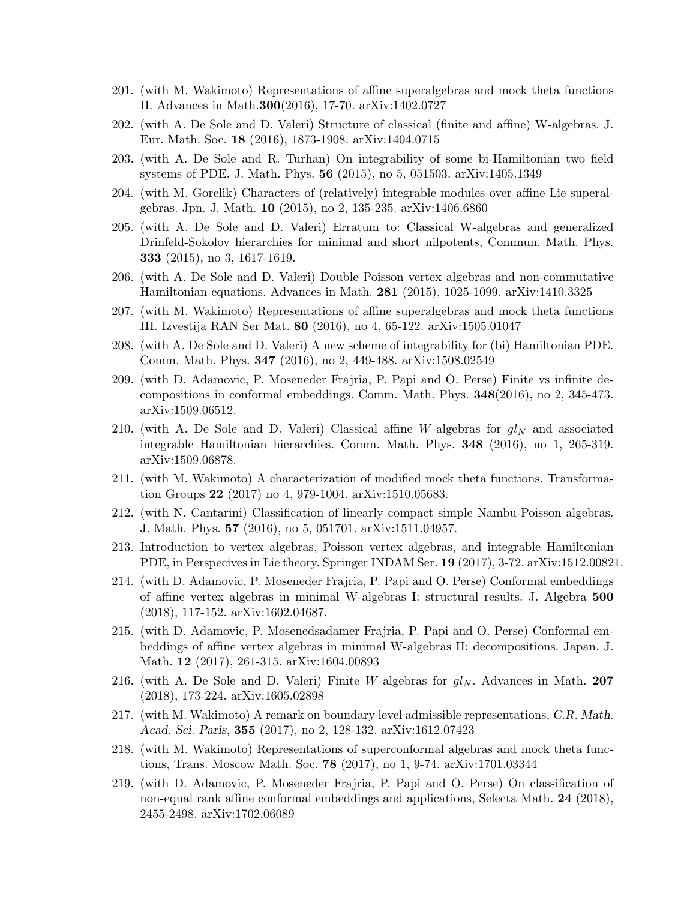- 201. (with M. Wakimoto) Representations of affine superalgebras and mock theta functions II. Advances in Math.300(2016), 17-70. arXiv:1402.0727
- 202. (with A. De Sole and D. Valeri) Structure of classical (finite and affine) W-algebras. J. Eur. Math. Soc. 18 (2016), 1873-1908. arXiv:1404.0715
- 203. (with A. De Sole and R. Turhan) On integrability of some bi-Hamiltonian two field systems of PDE. J. Math. Phys. 56 (2015), no 5, 051503. arXiv:1405.1349
- 204. (with M. Gorelik) Characters of (relatively) integrable modules over affine Lie superalgebras. Jpn. J. Math. 10 (2015), no 2, 135-235. arXiv:1406.6860
- 205. (with A. De Sole and D. Valeri) Erratum to: Classical W-algebras and generalized Drinfeld-Sokolov hierarchies for minimal and short nilpotents, Commun. Math. Phys. 333 (2015), no 3, 1617-1619.
- 206. (with A. De Sole and D. Valeri) Double Poisson vertex algebras and non-commutative Hamiltonian equations. Advances in Math. 281 (2015), 1025-1099. arXiv:1410.3325
- 207. (with M. Wakimoto) Representations of affine superalgebras and mock theta functions III. Izvestija RAN Ser Mat. 80 (2016), no 4, 65-122. arXiv:1505.01047
- 208. (with A. De Sole and D. Valeri) A new scheme of integrability for (bi) Hamiltonian PDE. Comm. Math. Phys. 347 (2016), no 2, 449-488. arXiv:1508.02549
- 209. (with D. Adamovic, P. Moseneder Frajria, P. Papi and O. Perse) Finite vs infinite decompositions in conformal embeddings. Comm. Math. Phys. 348(2016), no 2, 345-473. arXiv:1509.06512.
- 210. (with A. De Sole and D. Valeri) Classical affine *W*-algebras for  $gl_N$  and associated integrable Hamiltonian hierarchies. Comm. Math. Phys. 348 (2016), no 1, 265-319. arXiv:1509.06878.
- 211. (with M. Wakimoto) A characterization of modified mock theta functions. Transformation Groups 22 (2017) no 4, 979-1004. arXiv:1510.05683.
- 212. (with N. Cantarini) Classification of linearly compact simple Nambu-Poisson algebras. J. Math. Phys. 57 (2016), no 5, 051701. arXiv:1511.04957.
- 213. Introduction to vertex algebras, Poisson vertex algebras, and integrable Hamiltonian PDE, in Perspecives in Lie theory. Springer INDAM Ser. 19 (2017), 3-72. arXiv:1512.00821.
- 214. (with D. Adamovic, P. Moseneder Frajria, P. Papi and O. Perse) Conformal embeddings of affine vertex algebras in minimal W-algebras I: structural results. J. Algebra 500 (2018), 117-152. arXiv:1602.04687.
- 215. (with D. Adamovic, P. Mosenedsadamer Frajria, P. Papi and O. Perse) Conformal embeddings of affine vertex algebras in minimal W-algebras II: decompositions. Japan. J. Math. 12 (2017), 261-315. arXiv:1604.00893
- 216. (with A. De Sole and D. Valeri) Finite *W*-algebras for  $gl_N$ . Advances in Math. 207 (2018), 173-224. arXiv:1605.02898
- 217. (with M. Wakimoto) A remark on boundary level admissible representations, *C.R. Math. Acad. Sci. Paris*, 355 (2017), no 2, 128-132. arXiv:1612.07423
- 218. (with M. Wakimoto) Representations of superconformal algebras and mock theta functions, Trans. Moscow Math. Soc. 78 (2017), no 1, 9-74. arXiv:1701.03344
- 219. (with D. Adamovic, P. Moseneder Frajria, P. Papi and O. Perse) On classification of non-equal rank affine conformal embeddings and applications, Selecta Math. 24 (2018), 2455-2498. arXiv:1702.06089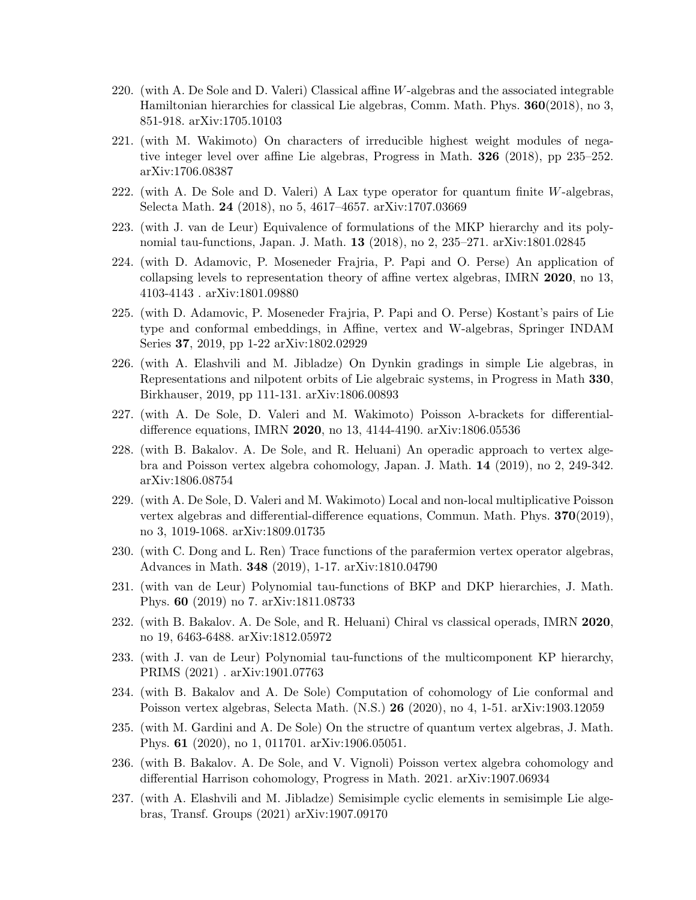- 220. (with A. De Sole and D. Valeri) Classical affine *W*-algebras and the associated integrable Hamiltonian hierarchies for classical Lie algebras, Comm. Math. Phys. 360(2018), no 3, 851-918. arXiv:1705.10103
- 221. (with M. Wakimoto) On characters of irreducible highest weight modules of negative integer level over affine Lie algebras, Progress in Math.  $326$  (2018), pp 235–252. arXiv:1706.08387
- 222. (with A. De Sole and D. Valeri) A Lax type operator for quantum finite *W*-algebras, Selecta Math. 24 (2018), no 5, 4617–4657. arXiv:1707.03669
- 223. (with J. van de Leur) Equivalence of formulations of the MKP hierarchy and its polynomial tau-functions, Japan. J. Math. 13 (2018), no 2, 235–271. arXiv:1801.02845
- 224. (with D. Adamovic, P. Moseneder Frajria, P. Papi and O. Perse) An application of collapsing levels to representation theory of affine vertex algebras, IMRN  $2020$ , no 13, 4103-4143 . arXiv:1801.09880
- 225. (with D. Adamovic, P. Moseneder Frajria, P. Papi and O. Perse) Kostant's pairs of Lie type and conformal embeddings, in Affine, vertex and W-algebras, Springer INDAM Series 37, 2019, pp 1-22 arXiv:1802.02929
- 226. (with A. Elashvili and M. Jibladze) On Dynkin gradings in simple Lie algebras, in Representations and nilpotent orbits of Lie algebraic systems, in Progress in Math 330, Birkhauser, 2019, pp 111-131. arXiv:1806.00893
- 227. (with A. De Sole, D. Valeri and M. Wakimoto) Poisson  $\lambda$ -brackets for differentialdifference equations, IMRN 2020, no 13, 4144-4190. arXiv:1806.05536
- 228. (with B. Bakalov. A. De Sole, and R. Heluani) An operadic approach to vertex algebra and Poisson vertex algebra cohomology, Japan. J. Math. 14 (2019), no 2, 249-342. arXiv:1806.08754
- 229. (with A. De Sole, D. Valeri and M. Wakimoto) Local and non-local multiplicative Poisson vertex algebras and differential-difference equations, Commun. Math. Phys.  $370(2019)$ , no 3, 1019-1068. arXiv:1809.01735
- 230. (with C. Dong and L. Ren) Trace functions of the parafermion vertex operator algebras, Advances in Math. 348 (2019), 1-17. arXiv:1810.04790
- 231. (with van de Leur) Polynomial tau-functions of BKP and DKP hierarchies, J. Math. Phys. 60 (2019) no 7. arXiv:1811.08733
- 232. (with B. Bakalov. A. De Sole, and R. Heluani) Chiral vs classical operads, IMRN 2020, no 19, 6463-6488. arXiv:1812.05972
- 233. (with J. van de Leur) Polynomial tau-functions of the multicomponent KP hierarchy, PRIMS (2021) . arXiv:1901.07763
- 234. (with B. Bakalov and A. De Sole) Computation of cohomology of Lie conformal and Poisson vertex algebras, Selecta Math. (N.S.) 26 (2020), no 4, 1-51. arXiv:1903.12059
- 235. (with M. Gardini and A. De Sole) On the structre of quantum vertex algebras, J. Math. Phys. 61 (2020), no 1, 011701. arXiv:1906.05051.
- 236. (with B. Bakalov. A. De Sole, and V. Vignoli) Poisson vertex algebra cohomology and differential Harrison cohomology, Progress in Math. 2021. arXiv:1907.06934
- 237. (with A. Elashvili and M. Jibladze) Semisimple cyclic elements in semisimple Lie algebras, Transf. Groups (2021) arXiv:1907.09170